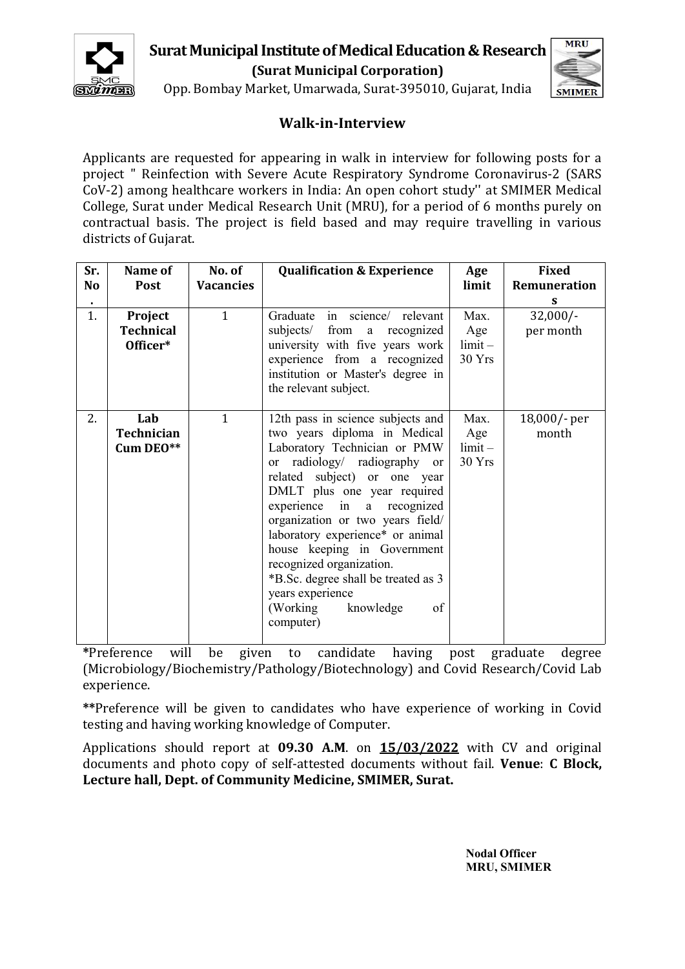

# **Surat Municipal Institute of Medical Education & Research**  $\sqrt{\frac{MRU}{n}}$ **(Surat Municipal Corporation)**



Opp. Bombay Market, Umarwada, Surat-395010, Gujarat, India

## **Walk-in-Interview**

Applicants are requested for appearing in walk in interview for following posts for a project " Reinfection with Severe Acute Respiratory Syndrome Coronavirus-2 (SARS CoV-2) among healthcare workers in India: An open cohort study'' at SMIMER Medical College, Surat under Medical Research Unit (MRU), for a period of 6 months purely on contractual basis. The project is field based and may require travelling in various districts of Gujarat.

| Sr.<br>No | Name of<br>Post                         | No. of<br><b>Vacancies</b> | <b>Qualification &amp; Experience</b>                                                                                                                                                                                                                                                                                                                                                                                                                                     | Age<br>limit                       | Fixed<br>Remuneration   |
|-----------|-----------------------------------------|----------------------------|---------------------------------------------------------------------------------------------------------------------------------------------------------------------------------------------------------------------------------------------------------------------------------------------------------------------------------------------------------------------------------------------------------------------------------------------------------------------------|------------------------------------|-------------------------|
|           |                                         |                            |                                                                                                                                                                                                                                                                                                                                                                                                                                                                           |                                    |                         |
| 1.        | Project<br><b>Technical</b><br>Officer* | $\mathbf{1}$               | Graduate in science/ relevant<br>subjects/<br>from a recognized<br>university with five years work<br>experience from a recognized<br>institution or Master's degree in<br>the relevant subject.                                                                                                                                                                                                                                                                          | Max.<br>Age<br>$limit -$<br>30Yrs  | $32,000/-$<br>per month |
| 2.        | Lab<br><b>Technician</b><br>Cum DEO**   | $\mathbf{1}$               | 12th pass in science subjects and<br>two years diploma in Medical<br>Laboratory Technician or PMW<br>or radiology/ radiography or<br>related subject) or one year<br>DMLT plus one year required<br>experience in a recognized<br>organization or two years field/<br>laboratory experience* or animal<br>house keeping in Government<br>recognized organization.<br>*B.Sc. degree shall be treated as 3<br>years experience<br>(Working)<br>knowledge<br>of<br>computer) | Max.<br>Age<br>$limit -$<br>30 Yrs | 18,000/- per<br>month   |

**\***Preference will be given to candidate having post graduate degree (Microbiology/Biochemistry/Pathology/Biotechnology) and Covid Research/Covid Lab experience.

**\*\***Preference will be given to candidates who have experience of working in Covid testing and having working knowledge of Computer.

Applications should report at **09.30 A.M**. on **15/03/2022** with CV and original documents and photo copy of self-attested documents without fail. **Venue**: **<sup>C</sup> Block, Lecture hall, Dept. of Community Medicine, SMIMER, Surat.**

> **Nodal Officer MRU, SMIMER**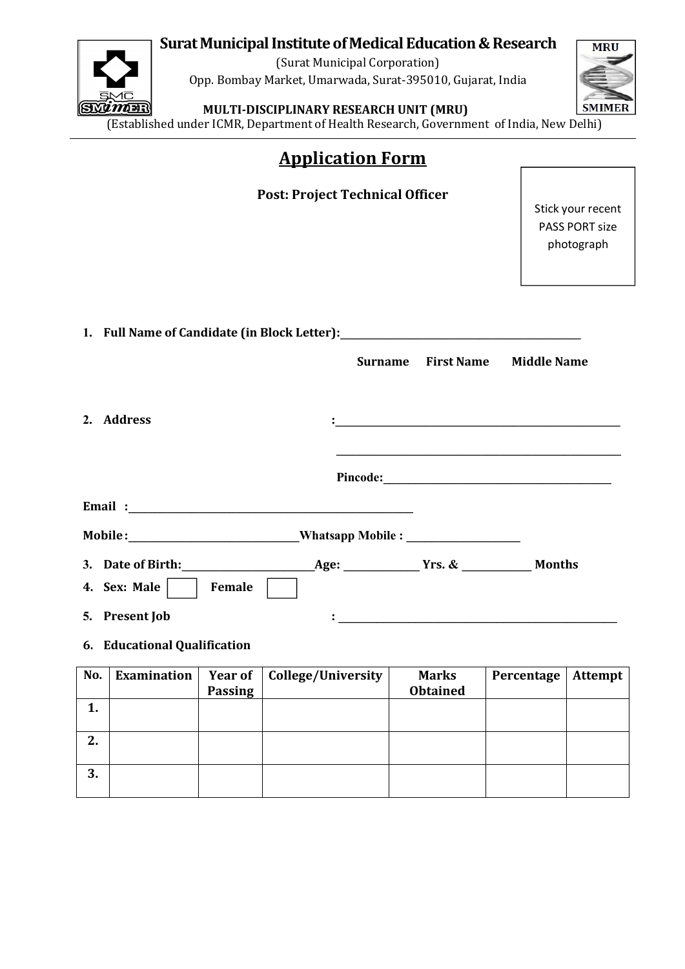# **Surat Municipal Institute of Medical Education & Research**  $\sqrt{\text{MRU}}$



(Surat Municipal Corporation) Opp. Bombay Market, Umarwada, Surat-395010, Gujarat, India



**MULTI-DISCIPLINARY RESEARCH UNIT (MRU)**

(Established under ICMR, Department of Health Research, Government of India, New Delhi)

| <b>Application Form</b> |  |
|-------------------------|--|
|                         |  |

|                                                                                  | <b>Post: Project Technical Officer</b> |                   | Stick your recent<br><b>PASS PORT size</b><br>photograph                                                             |
|----------------------------------------------------------------------------------|----------------------------------------|-------------------|----------------------------------------------------------------------------------------------------------------------|
| 1. Full Name of Candidate (in Block Letter): ___________________________________ |                                        |                   |                                                                                                                      |
|                                                                                  | <b>Surname</b>                         | <b>First Name</b> | <b>Middle Name</b>                                                                                                   |
| 2. Address                                                                       |                                        |                   |                                                                                                                      |
|                                                                                  |                                        |                   |                                                                                                                      |
|                                                                                  |                                        |                   |                                                                                                                      |
| Mobile: ______________________________Whatsapp Mobile : ________________________ |                                        |                   |                                                                                                                      |
|                                                                                  |                                        |                   |                                                                                                                      |
| 4. Sex: Male $ $<br>Female                                                       |                                        |                   |                                                                                                                      |
| 5. Present Job                                                                   |                                        |                   | <u> 1990 - Jan James James James James James James James James James James James James James James James James J</u> |
| 6. Educational Qualification                                                     |                                        |                   |                                                                                                                      |
|                                                                                  |                                        |                   |                                                                                                                      |

| No. | Examination $ $ | <b>Passing</b> | Year of   College/University | <b>Marks</b><br><b>Obtained</b> | Percentage | Attempt |
|-----|-----------------|----------------|------------------------------|---------------------------------|------------|---------|
| . . |                 |                |                              |                                 |            |         |
| 2.  |                 |                |                              |                                 |            |         |
| 3.  |                 |                |                              |                                 |            |         |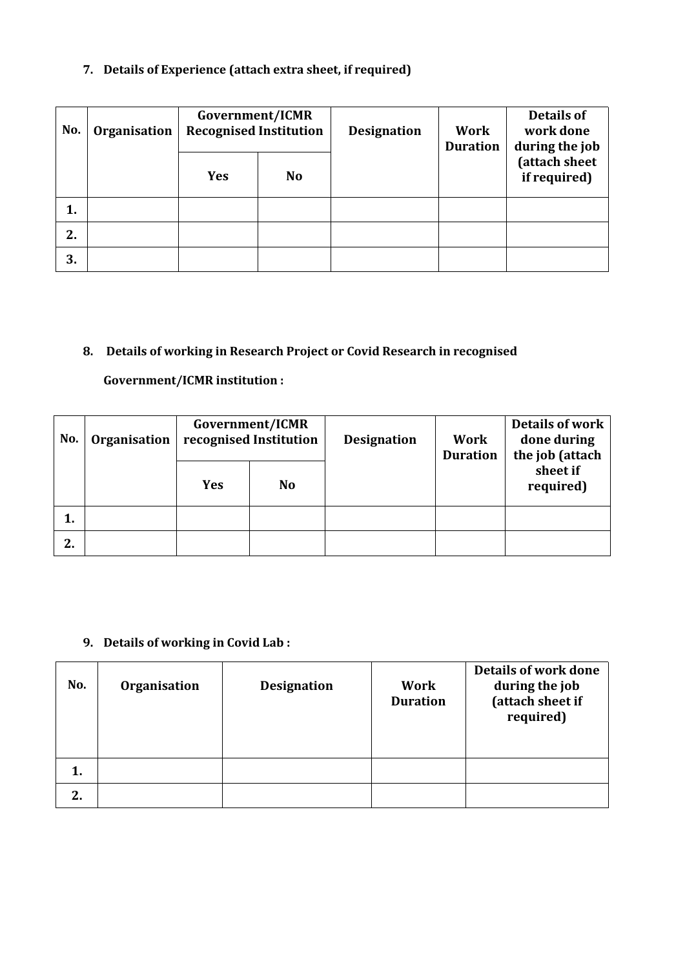### **7. Details of Experience (attach extra sheet, if required)**

| No. | Organisation | Government/ICMR<br><b>Recognised Institution</b> |           | <b>Designation</b> | Work<br><b>Duration</b> | Details of<br>work done<br>during the job |
|-----|--------------|--------------------------------------------------|-----------|--------------------|-------------------------|-------------------------------------------|
|     |              | <b>Yes</b>                                       | <b>No</b> |                    |                         | (attach sheet<br>if required)             |
| 1.  |              |                                                  |           |                    |                         |                                           |
| 2.  |              |                                                  |           |                    |                         |                                           |
| 3.  |              |                                                  |           |                    |                         |                                           |

## **8. Details of working in Research Project or Covid Research in recognised**

## **Government/ICMR institution :**

| No. | Organisation | Government/ICMR<br>recognised Institution |           | <b>Designation</b> | Work<br><b>Duration</b> | Details of work<br>done during<br>the job (attach |
|-----|--------------|-------------------------------------------|-----------|--------------------|-------------------------|---------------------------------------------------|
|     |              | <b>Yes</b>                                | <b>No</b> |                    |                         | sheet if<br>required)                             |
| л.  |              |                                           |           |                    |                         |                                                   |
| 2.  |              |                                           |           |                    |                         |                                                   |

## **9. Details of working in Covid Lab :**

| No. | Organisation | <b>Designation</b> | Work<br><b>Duration</b> | Details of work done<br>during the job<br>(attach sheet if<br>required) |  |
|-----|--------------|--------------------|-------------------------|-------------------------------------------------------------------------|--|
| 1.  |              |                    |                         |                                                                         |  |
| 2.  |              |                    |                         |                                                                         |  |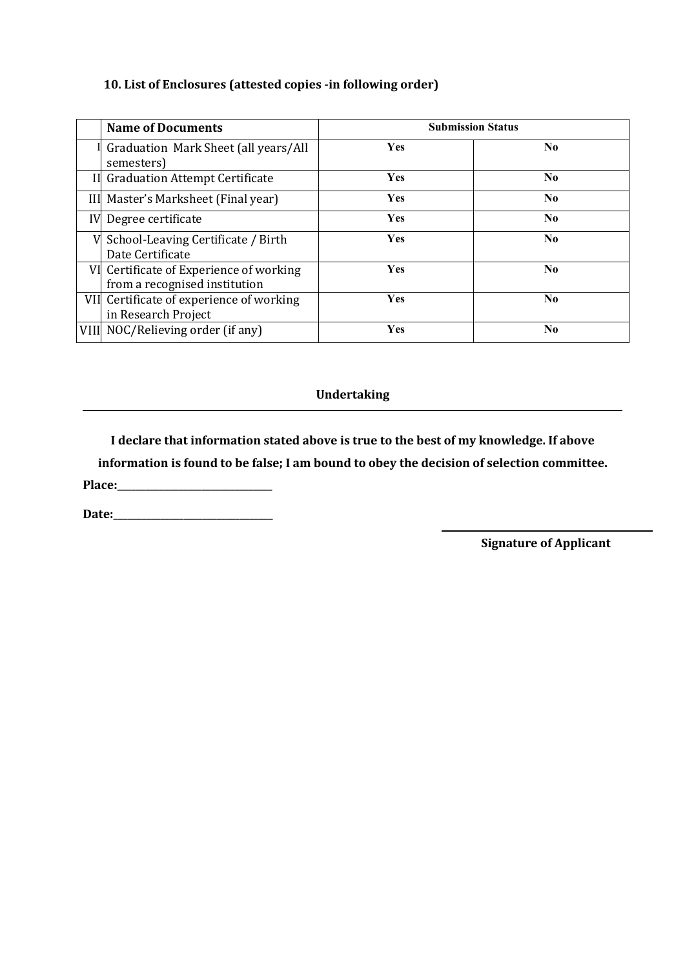## **10. List of Enclosures (attested copies -in following order)**

|    | <b>Name of Documents</b>                                                 | <b>Submission Status</b> |                |  |
|----|--------------------------------------------------------------------------|--------------------------|----------------|--|
|    | Graduation Mark Sheet (all years/All<br>semesters)                       | Yes                      | N <sub>0</sub> |  |
|    | Il Graduation Attempt Certificate                                        | <b>Yes</b>               | N <sub>0</sub> |  |
|    | III Master's Marksheet (Final year)                                      | <b>Yes</b>               | N <sub>0</sub> |  |
| IV | Degree certificate                                                       | <b>Yes</b>               | N <sub>0</sub> |  |
| V  | School-Leaving Certificate / Birth<br>Date Certificate                   | Yes                      | N <sub>0</sub> |  |
|    | VI Certificate of Experience of working<br>from a recognised institution | Yes                      | N <sub>0</sub> |  |
|    | VII Certificate of experience of working<br>in Research Project          | Yes                      | N <sub>0</sub> |  |
|    | VIII NOC/Relieving order (if any)                                        | Yes                      | N <sub>0</sub> |  |

#### **Undertaking**

**I declare that information stated above is true to the bestof my knowledge. If above**

**information is found to be false; I am bound to obey the decision of selection committee.**

**Place:\_\_\_\_\_\_\_\_\_\_\_\_\_\_\_\_\_\_\_\_\_\_\_\_\_\_\_\_\_\_\_\_\_**

**Date:\_\_\_\_\_\_\_\_\_\_\_\_\_\_\_\_\_\_\_\_\_\_\_\_\_\_\_\_\_\_\_\_\_\_**

**Signature of Applicant**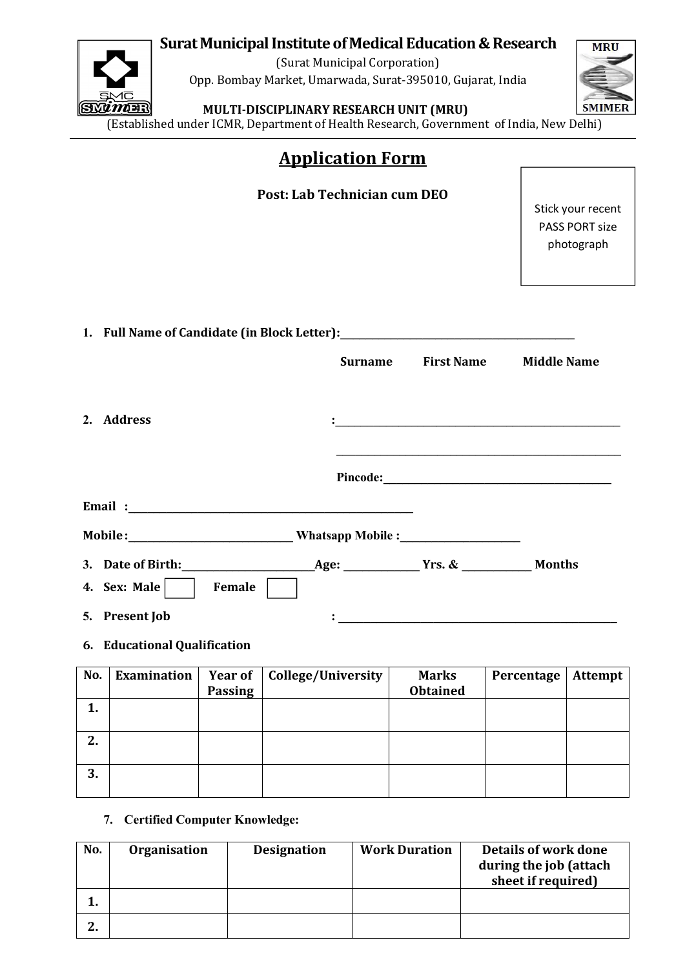## **Surat Municipal Institute of Medical Education & Research**  $\sqrt{\text{MRU}}$



(Surat Municipal Corporation) Opp. Bombay Market, Umarwada, Surat-395010, Gujarat, India



### **MULTI-DISCIPLINARY RESEARCH UNIT (MRU)**

(Established under ICMR, Department of Health Research, Government of India, New Delhi)

|                                                                                  | <b>Application Form</b>      |                                                                                                                         |                                                                          |
|----------------------------------------------------------------------------------|------------------------------|-------------------------------------------------------------------------------------------------------------------------|--------------------------------------------------------------------------|
|                                                                                  | Post: Lab Technician cum DEO |                                                                                                                         | Stick your recent<br><b>PASS PORT size</b><br>photograph                 |
| 1. Full Name of Candidate (in Block Letter): ___________________________________ |                              |                                                                                                                         |                                                                          |
| 2. Address                                                                       | <b>Surname</b>               | <b>First Name</b>                                                                                                       | <b>Middle Name</b><br><u> 1989 - Johann John Harry Hermann (f. 1989)</u> |
|                                                                                  |                              | <u> 1989 - Johann John Stoff, deutscher Stoff und der Stoff und der Stoff und der Stoff und der Stoff und der Stoff</u> |                                                                          |
|                                                                                  |                              |                                                                                                                         |                                                                          |
| Mobile: _________________________________Whatsapp Mobile : _____________________ |                              |                                                                                                                         |                                                                          |
| 4. Sex: Male $\vert$<br>Female<br>5. Present Job                                 |                              |                                                                                                                         |                                                                          |
|                                                                                  |                              | <u> 1980 - Johann Barbara, martin amerikan basar da</u>                                                                 |                                                                          |

### **6. Educational Qualification**

| No. | Examination | <b>Passing</b> | <b>Year of   College/University</b> | <b>Marks</b><br><b>Obtained</b> | Percentage | Attempt |
|-----|-------------|----------------|-------------------------------------|---------------------------------|------------|---------|
|     |             |                |                                     |                                 |            |         |
| 2.  |             |                |                                     |                                 |            |         |
| 3.  |             |                |                                     |                                 |            |         |

### **7. Certified Computer Knowledge:**

| No.      | <b>Organisation</b> | Designation | <b>Work Duration</b> | Details of work done<br>during the job (attach<br>sheet if required) |  |
|----------|---------------------|-------------|----------------------|----------------------------------------------------------------------|--|
|          |                     |             |                      |                                                                      |  |
| <u>.</u> |                     |             |                      |                                                                      |  |